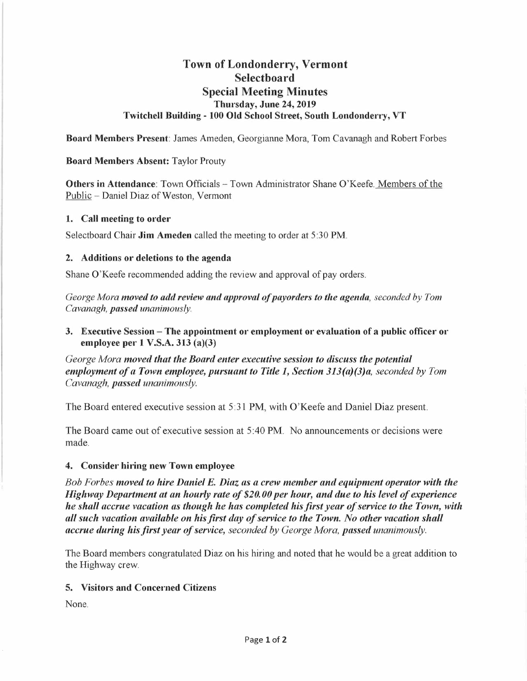# **Town of Londonderry, Vermont Select boa rd Special Meeting Minutes Thursday, June 24, 2019 Twitchell Building - 100 Old School Street, South Londonderry, VT**

**Board Members Present:** James Ameden, Georgianne Mora, Tom Cavanagh and Robert Forbes

# **Board Members Absent:** Taylor Prouty

**Others in Attendance**: Town Officials - Town Administrator Shane O'Keefe. Members of the Public - Daniel Diaz of Weston, Vermont

# **1. Call meeting to order**

Selectboard Chair **Jim Ameden** called the meeting to order at 5:30 **PM.** 

# **2. Additions or deletions to the agenda**

Shane O'Keefe recommended adding the review and approval of pay orders.

*George Mora moved to add review and approval of payorders to the agenda, seconded by Tom Cavanagh, passed unanimously.* 

**3. Executive Session -The appointment or employment or evaluation of a public officer or employee per 1 V.S.A. 313 (a)(3)** 

*George Mora moved that the Board enter executive session to discuss the potential employment of a Town employee, pursuant to Title 1, Section 313(a)(3)a, seconded by Tom Cavanagh, passed unanimously.* 

The Board entered executive session at 5:31 PM, with O'Keefe and Daniel Diaz present.

The Board came out of executive session at 5 :40 **PM.** No announcements or decisions were made.

#### **4. Consider hiring new Town employee**

*Bob Forbes moved to hire Daniel E. Diaz as a crew member and equipment operator with the Highway Department at an hourly rate of \$20. 00 per hour, and due to his level of experience he shall accrue vacation as though he has completed his first year of service to the Town, with all such vacation available on his first day of service to the Town. No other vacation shall accrue during his first year of service, seconded by George Mora, passed unanimously.* 

The Board members congratulated Diaz on his hiring and noted that he would be a great addition to the Highway crew.

# **5. Visitors and Concerned Citizens**

None.